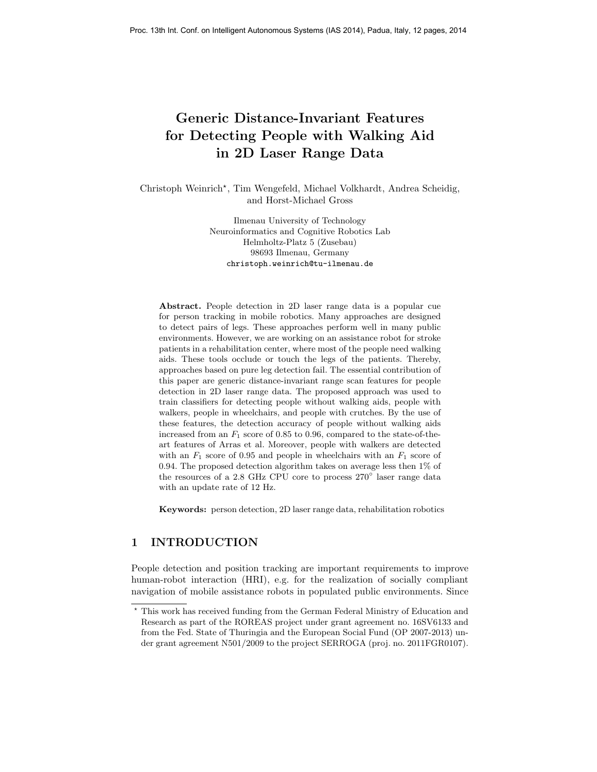# Generic Distance-Invariant Features for Detecting People with Walking Aid in 2D Laser Range Data

Christoph Weinrich\*, Tim Wengefeld, Michael Volkhardt, Andrea Scheidig, and Horst-Michael Gross

> Ilmenau University of Technology Neuroinformatics and Cognitive Robotics Lab Helmholtz-Platz 5 (Zusebau) 98693 Ilmenau, Germany christoph.weinrich@tu-ilmenau.de

Abstract. People detection in 2D laser range data is a popular cue for person tracking in mobile robotics. Many approaches are designed to detect pairs of legs. These approaches perform well in many public environments. However, we are working on an assistance robot for stroke patients in a rehabilitation center, where most of the people need walking aids. These tools occlude or touch the legs of the patients. Thereby, approaches based on pure leg detection fail. The essential contribution of this paper are generic distance-invariant range scan features for people detection in 2D laser range data. The proposed approach was used to train classifiers for detecting people without walking aids, people with walkers, people in wheelchairs, and people with crutches. By the use of these features, the detection accuracy of people without walking aids increased from an  $F_1$  score of 0.85 to 0.96, compared to the state-of-theart features of Arras et al. Moreover, people with walkers are detected with an  $F_1$  score of 0.95 and people in wheelchairs with an  $F_1$  score of 0.94. The proposed detection algorithm takes on average less then 1% of the resources of a 2.8 GHz CPU core to process 270◦ laser range data with an update rate of 12 Hz.

Keywords: person detection, 2D laser range data, rehabilitation robotics

## 1 INTRODUCTION

People detection and position tracking are important requirements to improve human-robot interaction (HRI), e.g. for the realization of socially compliant navigation of mobile assistance robots in populated public environments. Since

 $^\star$  This work has received funding from the German Federal Ministry of Education and Research as part of the ROREAS project under grant agreement no. 16SV6133 and from the Fed. State of Thuringia and the European Social Fund (OP 2007-2013) under grant agreement N501/2009 to the project SERROGA (proj. no. 2011FGR0107).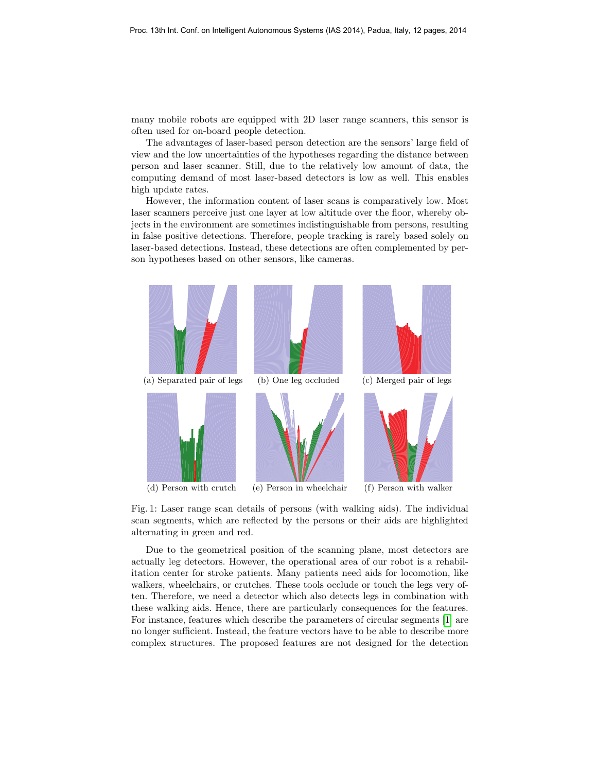many mobile robots are equipped with 2D laser range scanners, this sensor is often used for on-board people detection.

The advantages of laser-based person detection are the sensors' large field of view and the low uncertainties of the hypotheses regarding the distance between person and laser scanner. Still, due to the relatively low amount of data, the computing demand of most laser-based detectors is low as well. This enables high update rates.

However, the information content of laser scans is comparatively low. Most laser scanners perceive just one layer at low altitude over the floor, whereby objects in the environment are sometimes indistinguishable from persons, resulting in false positive detections. Therefore, people tracking is rarely based solely on laser-based detections. Instead, these detections are often complemented by person hypotheses based on other sensors, like cameras.

<span id="page-1-0"></span>

Fig. 1: Laser range scan details of persons (with walking aids). The individual scan segments, which are reflected by the persons or their aids are highlighted alternating in green and red.

Due to the geometrical position of the scanning plane, most detectors are actually leg detectors. However, the operational area of our robot is a rehabilitation center for stroke patients. Many patients need aids for locomotion, like walkers, wheelchairs, or crutches. These tools occlude or touch the legs very often. Therefore, we need a detector which also detects legs in combination with these walking aids. Hence, there are particularly consequences for the features. For instance, features which describe the parameters of circular segments [\[1\]](#page-11-0) are no longer sufficient. Instead, the feature vectors have to be able to describe more complex structures. The proposed features are not designed for the detection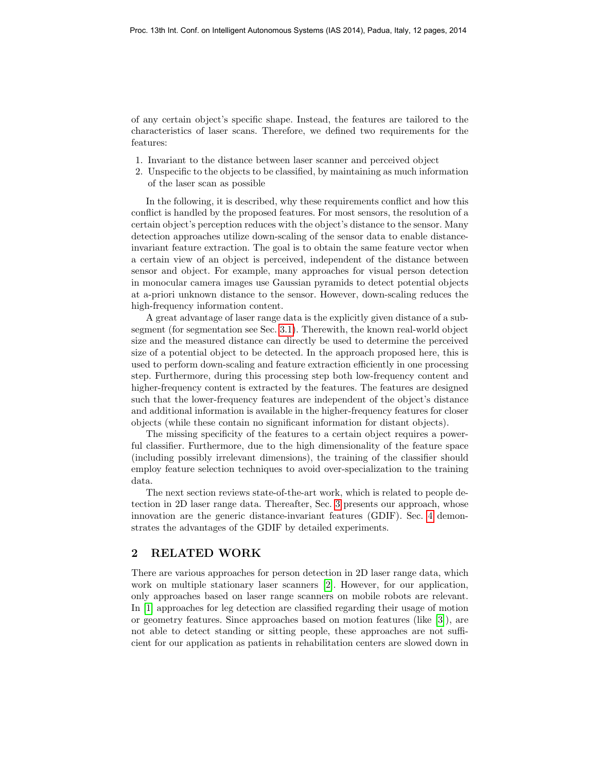of any certain object's specific shape. Instead, the features are tailored to the characteristics of laser scans. Therefore, we defined two requirements for the features:

- 1. Invariant to the distance between laser scanner and perceived object
- 2. Unspecific to the objects to be classified, by maintaining as much information of the laser scan as possible

In the following, it is described, why these requirements conflict and how this conflict is handled by the proposed features. For most sensors, the resolution of a certain object's perception reduces with the object's distance to the sensor. Many detection approaches utilize down-scaling of the sensor data to enable distanceinvariant feature extraction. The goal is to obtain the same feature vector when a certain view of an object is perceived, independent of the distance between sensor and object. For example, many approaches for visual person detection in monocular camera images use Gaussian pyramids to detect potential objects at a-priori unknown distance to the sensor. However, down-scaling reduces the high-frequency information content.

A great advantage of laser range data is the explicitly given distance of a subsegment (for segmentation see Sec. [3.1\)](#page-3-0). Therewith, the known real-world object size and the measured distance can directly be used to determine the perceived size of a potential object to be detected. In the approach proposed here, this is used to perform down-scaling and feature extraction efficiently in one processing step. Furthermore, during this processing step both low-frequency content and higher-frequency content is extracted by the features. The features are designed such that the lower-frequency features are independent of the object's distance and additional information is available in the higher-frequency features for closer objects (while these contain no significant information for distant objects).

The missing specificity of the features to a certain object requires a powerful classifier. Furthermore, due to the high dimensionality of the feature space (including possibly irrelevant dimensions), the training of the classifier should employ feature selection techniques to avoid over-specialization to the training data.

The next section reviews state-of-the-art work, which is related to people detection in 2D laser range data. Thereafter, Sec. [3](#page-3-1) presents our approach, whose innovation are the generic distance-invariant features (GDIF). Sec. [4](#page-6-0) demonstrates the advantages of the GDIF by detailed experiments.

## 2 RELATED WORK

There are various approaches for person detection in 2D laser range data, which work on multiple stationary laser scanners [\[2\]](#page-11-1). However, for our application, only approaches based on laser range scanners on mobile robots are relevant. In [\[1\]](#page-11-0) approaches for leg detection are classified regarding their usage of motion or geometry features. Since approaches based on motion features (like [\[3\]](#page-11-2)), are not able to detect standing or sitting people, these approaches are not sufficient for our application as patients in rehabilitation centers are slowed down in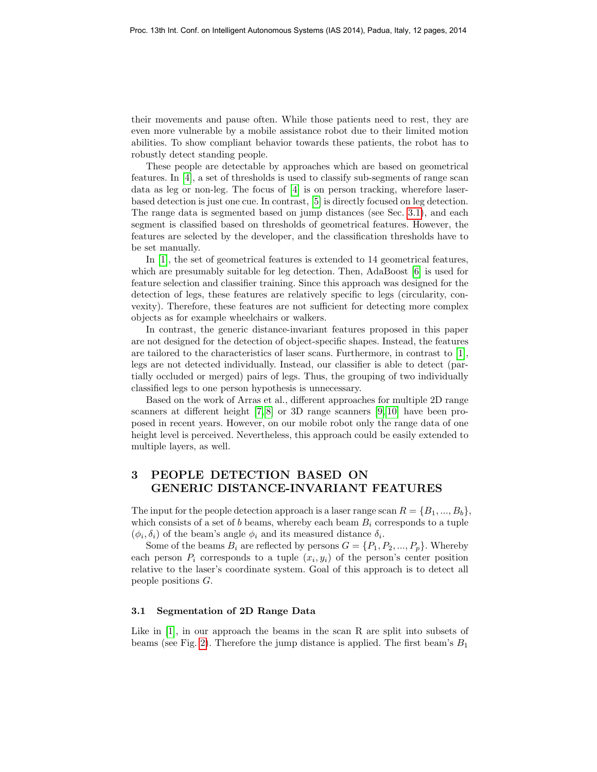their movements and pause often. While those patients need to rest, they are even more vulnerable by a mobile assistance robot due to their limited motion abilities. To show compliant behavior towards these patients, the robot has to robustly detect standing people.

These people are detectable by approaches which are based on geometrical features. In [\[4\]](#page-11-3), a set of thresholds is used to classify sub-segments of range scan data as leg or non-leg. The focus of [\[4\]](#page-11-3) is on person tracking, wherefore laserbased detection is just one cue. In contrast, [\[5\]](#page-11-4) is directly focused on leg detection. The range data is segmented based on jump distances (see Sec. [3.1\)](#page-3-0), and each segment is classified based on thresholds of geometrical features. However, the features are selected by the developer, and the classification thresholds have to be set manually.

In [\[1\]](#page-11-0), the set of geometrical features is extended to 14 geometrical features, which are presumably suitable for leg detection. Then, AdaBoost [\[6\]](#page-11-5) is used for feature selection and classifier training. Since this approach was designed for the detection of legs, these features are relatively specific to legs (circularity, convexity). Therefore, these features are not sufficient for detecting more complex objects as for example wheelchairs or walkers.

In contrast, the generic distance-invariant features proposed in this paper are not designed for the detection of object-specific shapes. Instead, the features are tailored to the characteristics of laser scans. Furthermore, in contrast to [\[1\]](#page-11-0), legs are not detected individually. Instead, our classifier is able to detect (partially occluded or merged) pairs of legs. Thus, the grouping of two individually classified legs to one person hypothesis is unnecessary.

Based on the work of Arras et al., different approaches for multiple 2D range scanners at different height [\[7,](#page-11-6) [8\]](#page-11-7) or 3D range scanners [\[9,](#page-11-8) [10\]](#page-11-9) have been proposed in recent years. However, on our mobile robot only the range data of one height level is perceived. Nevertheless, this approach could be easily extended to multiple layers, as well.

# <span id="page-3-1"></span>3 PEOPLE DETECTION BASED ON GENERIC DISTANCE-INVARIANT FEATURES

The input for the people detection approach is a laser range scan  $R = \{B_1, ..., B_b\}$ , which consists of a set of b beams, whereby each beam  $B_i$  corresponds to a tuple  $(\phi_i, \delta_i)$  of the beam's angle  $\phi_i$  and its measured distance  $\delta_i$ .

Some of the beams  $B_i$  are reflected by persons  $G = \{P_1, P_2, ..., P_p\}$ . Whereby each person  $P_i$  corresponds to a tuple  $(x_i, y_i)$  of the person's center position relative to the laser's coordinate system. Goal of this approach is to detect all people positions G.

## <span id="page-3-0"></span>3.1 Segmentation of 2D Range Data

Like in [\[1\]](#page-11-0), in our approach the beams in the scan R are split into subsets of beams (see Fig. [2\)](#page-4-0). Therefore the jump distance is applied. The first beam's  $B_1$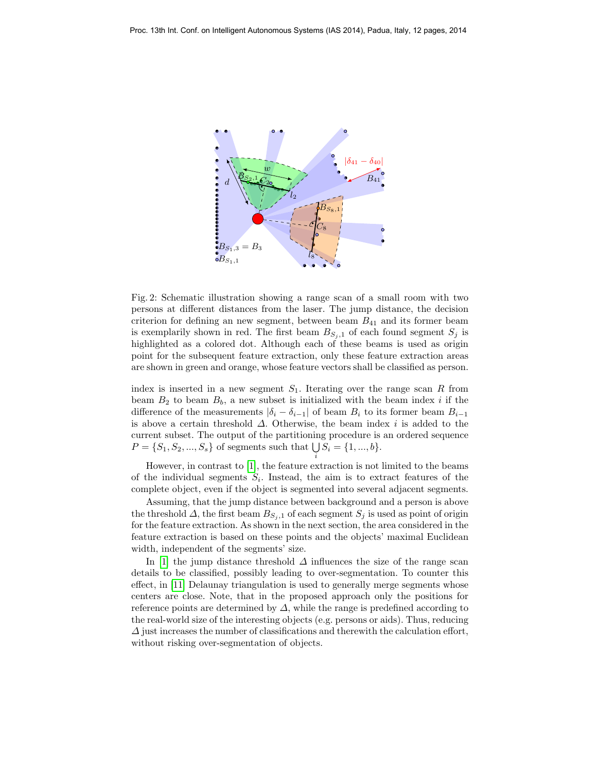<span id="page-4-0"></span>

Fig. 2: Schematic illustration showing a range scan of a small room with two persons at different distances from the laser. The jump distance, the decision criterion for defining an new segment, between beam  $B_{41}$  and its former beam is exemplarily shown in red. The first beam  $B_{S_i,1}$  of each found segment  $S_j$  is highlighted as a colored dot. Although each of these beams is used as origin point for the subsequent feature extraction, only these feature extraction areas are shown in green and orange, whose feature vectors shall be classified as person.

index is inserted in a new segment  $S_1$ . Iterating over the range scan R from beam  $B_2$  to beam  $B_b$ , a new subset is initialized with the beam index i if the difference of the measurements  $|\delta_i - \delta_{i-1}|$  of beam  $B_i$  to its former beam  $B_{i-1}$ is above a certain threshold  $\Delta$ . Otherwise, the beam index i is added to the current subset. The output of the partitioning procedure is an ordered sequence  $P = \{S_1, S_2, ..., S_s\}$  of segments such that  $\bigcup_i S_i = \{1, ..., b\}.$ 

However, in contrast to [\[1\]](#page-11-0), the feature extraction is not limited to the beams of the individual segments  $S_i$ . Instead, the aim is to extract features of the complete object, even if the object is segmented into several adjacent segments.

Assuming, that the jump distance between background and a person is above the threshold  $\Delta$ , the first beam  $B_{S_j,1}$  of each segment  $S_j$  is used as point of origin for the feature extraction. As shown in the next section, the area considered in the feature extraction is based on these points and the objects' maximal Euclidean width, independent of the segments' size.

In [\[1\]](#page-11-0) the jump distance threshold  $\Delta$  influences the size of the range scan details to be classified, possibly leading to over-segmentation. To counter this effect, in [\[11\]](#page-11-10) Delaunay triangulation is used to generally merge segments whose centers are close. Note, that in the proposed approach only the positions for reference points are determined by  $\Delta$ , while the range is predefined according to the real-world size of the interesting objects (e.g. persons or aids). Thus, reducing  $\Delta$  just increases the number of classifications and therewith the calculation effort, without risking over-segmentation of objects.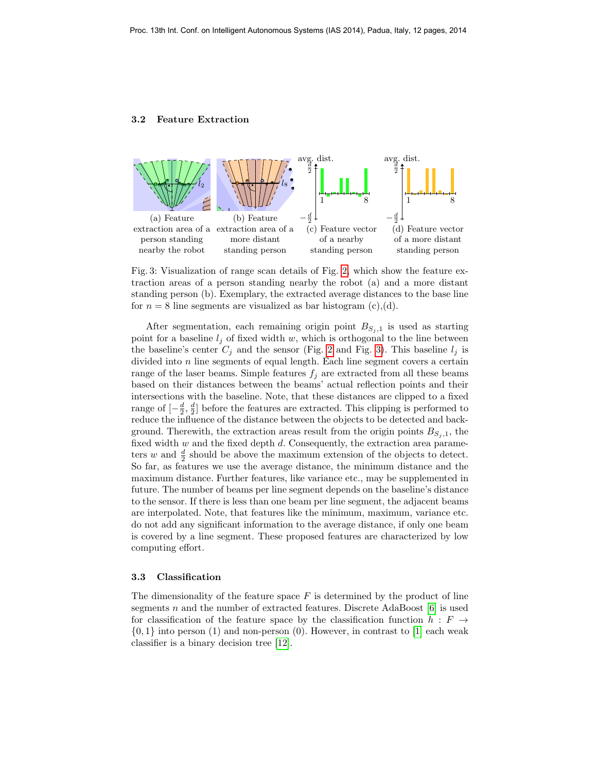#### 3.2 Feature Extraction

<span id="page-5-0"></span>

Fig. 3: Visualization of range scan details of Fig. [2,](#page-4-0) which show the feature extraction areas of a person standing nearby the robot (a) and a more distant standing person (b). Exemplary, the extracted average distances to the base line for  $n = 8$  line segments are visualized as bar histogram (c),(d).

After segmentation, each remaining origin point  $B_{S_i,1}$  is used as starting point for a baseline  $l_i$  of fixed width w, which is orthogonal to the line between the baseline's center  $C_j$  and the sensor (Fig. [2](#page-4-0) and Fig. [3\)](#page-5-0). This baseline  $l_j$  is divided into  $n$  line segments of equal length. Each line segment covers a certain range of the laser beams. Simple features  $f_j$  are extracted from all these beams based on their distances between the beams' actual reflection points and their intersections with the baseline. Note, that these distances are clipped to a fixed range of  $\left[-\frac{d}{2},\frac{d}{2}\right]$  before the features are extracted. This clipping is performed to reduce the influence of the distance between the objects to be detected and background. Therewith, the extraction areas result from the origin points  $B_{S_{i,1}}$ , the fixed width  $w$  and the fixed depth  $d$ . Consequently, the extraction area parameters w and  $\frac{d}{2}$  should be above the maximum extension of the objects to detect. So far, as features we use the average distance, the minimum distance and the maximum distance. Further features, like variance etc., may be supplemented in future. The number of beams per line segment depends on the baseline's distance to the sensor. If there is less than one beam per line segment, the adjacent beams are interpolated. Note, that features like the minimum, maximum, variance etc. do not add any significant information to the average distance, if only one beam is covered by a line segment. These proposed features are characterized by low computing effort.

#### 3.3 Classification

The dimensionality of the feature space  $F$  is determined by the product of line segments n and the number of extracted features. Discrete AdaBoost  $[6]$  is used for classification of the feature space by the classification function  $h : F \rightarrow$  $\{0,1\}$  into person  $(1)$  and non-person  $(0)$ . However, in contrast to  $[1]$  each weak classifier is a binary decision tree [\[12\]](#page-11-11).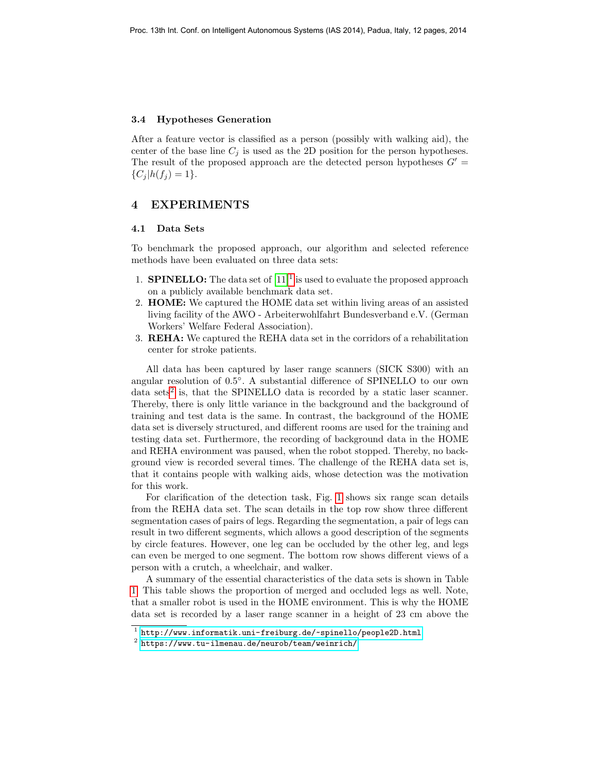### 3.4 Hypotheses Generation

After a feature vector is classified as a person (possibly with walking aid), the center of the base line  $C_j$  is used as the 2D position for the person hypotheses. The result of the proposed approach are the detected person hypotheses  $G'$  =  ${C_i | h(f_i) = 1}.$ 

## <span id="page-6-0"></span>4 EXPERIMENTS

## 4.1 Data Sets

To benchmark the proposed approach, our algorithm and selected reference methods have been evaluated on three data sets:

- [1](#page-6-1). **SPINELLO:** The data set of  $[11]$ <sup>1</sup> is used to evaluate the proposed approach on a publicly available benchmark data set.
- 2. HOME: We captured the HOME data set within living areas of an assisted living facility of the AWO - Arbeiterwohlfahrt Bundesverband e.V. (German Workers' Welfare Federal Association).
- 3. REHA: We captured the REHA data set in the corridors of a rehabilitation center for stroke patients.

All data has been captured by laser range scanners (SICK S300) with an angular resolution of 0.5◦ . A substantial difference of SPINELLO to our own data sets<sup>[2](#page-6-2)</sup> is, that the SPINELLO data is recorded by a static laser scanner. Thereby, there is only little variance in the background and the background of training and test data is the same. In contrast, the background of the HOME data set is diversely structured, and different rooms are used for the training and testing data set. Furthermore, the recording of background data in the HOME and REHA environment was paused, when the robot stopped. Thereby, no background view is recorded several times. The challenge of the REHA data set is, that it contains people with walking aids, whose detection was the motivation for this work.

For clarification of the detection task, Fig. [1](#page-1-0) shows six range scan details from the REHA data set. The scan details in the top row show three different segmentation cases of pairs of legs. Regarding the segmentation, a pair of legs can result in two different segments, which allows a good description of the segments by circle features. However, one leg can be occluded by the other leg, and legs can even be merged to one segment. The bottom row shows different views of a person with a crutch, a wheelchair, and walker.

A summary of the essential characteristics of the data sets is shown in Table [1.](#page-7-0) This table shows the proportion of merged and occluded legs as well. Note, that a smaller robot is used in the HOME environment. This is why the HOME data set is recorded by a laser range scanner in a height of 23 cm above the

<span id="page-6-1"></span><sup>&</sup>lt;sup>1</sup> <http://www.informatik.uni-freiburg.de/~spinello/people2D.html>

<span id="page-6-2"></span> $^2$  <https://www.tu-ilmenau.de/neurob/team/weinrich/>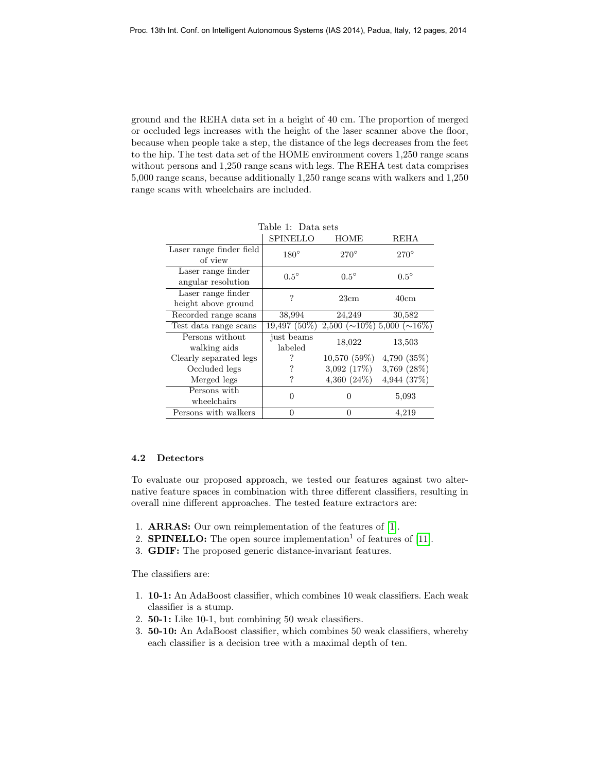ground and the REHA data set in a height of 40 cm. The proportion of merged or occluded legs increases with the height of the laser scanner above the floor, because when people take a step, the distance of the legs decreases from the feet to the hip. The test data set of the HOME environment covers 1,250 range scans without persons and 1,250 range scans with legs. The REHA test data comprises 5,000 range scans, because additionally 1,250 range scans with walkers and 1,250 range scans with wheelchairs are included.

<span id="page-7-0"></span>

|                                           | <b>SPINELLO</b>       | <b>HOME</b>    | REHA                                        |
|-------------------------------------------|-----------------------|----------------|---------------------------------------------|
| Laser range finder field<br>of view       | $180^\circ$           | $270^\circ$    | $270^\circ$                                 |
| Laser range finder<br>angular resolution  | $0.5^\circ$           | $0.5^\circ$    | $0.5^\circ$                                 |
| Laser range finder<br>height above ground | ?                     | 23cm           | 40cm                                        |
| Recorded range scans                      | 38,994                | 24,249         | 30,582                                      |
| Test data range scans                     | 19,497 (50%)          |                | $2,500 \ (\sim 10\%) \ 5,000 \ (\sim 16\%)$ |
| Persons without<br>walking aids           | just beams<br>labeled | 18,022         | 13,503                                      |
| Clearly separated legs                    | ?                     | 10,570(59%)    | 4,790(35%)                                  |
| Occluded legs                             | ?                     | 3,092(17%)     | 3,769 $(28%)$                               |
| Merged legs                               | ?                     | 4,360 $(24\%)$ | 4,944 (37%)                                 |
| Persons with<br>wheelchairs               | 0                     | $\mathbf{0}$   | 5,093                                       |
| Persons with walkers                      | $\mathbf{0}$          |                | 4,219                                       |

# Table 1: Data sets

### 4.2 Detectors

To evaluate our proposed approach, we tested our features against two alternative feature spaces in combination with three different classifiers, resulting in overall nine different approaches. The tested feature extractors are:

- 1. ARRAS: Our own reimplementation of the features of [\[1\]](#page-11-0).
- 2. **SPINELLO:** The open source implementation<sup>1</sup> of features of [\[11\]](#page-11-10).
- 3. GDIF: The proposed generic distance-invariant features.

The classifiers are:

- 1. 10-1: An AdaBoost classifier, which combines 10 weak classifiers. Each weak classifier is a stump.
- 2. 50-1: Like 10-1, but combining 50 weak classifiers.
- 3. 50-10: An AdaBoost classifier, which combines 50 weak classifiers, whereby each classifier is a decision tree with a maximal depth of ten.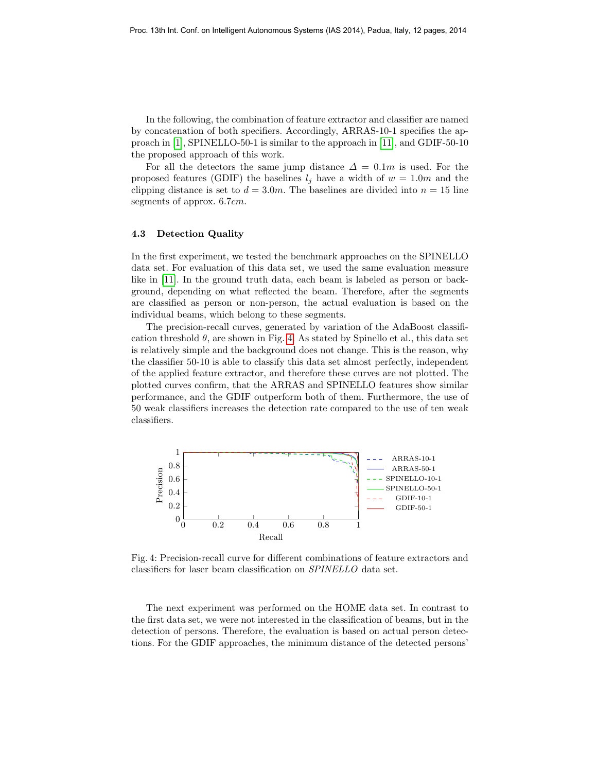In the following, the combination of feature extractor and classifier are named by concatenation of both specifiers. Accordingly, ARRAS-10-1 specifies the approach in [\[1\]](#page-11-0), SPINELLO-50-1 is similar to the approach in [\[11\]](#page-11-10), and GDIF-50-10 the proposed approach of this work.

For all the detectors the same jump distance  $\Delta = 0.1m$  is used. For the proposed features (GDIF) the baselines  $l_i$  have a width of  $w = 1.0m$  and the clipping distance is set to  $d = 3.0m$ . The baselines are divided into  $n = 15$  line segments of approx. 6.7cm.

#### 4.3 Detection Quality

In the first experiment, we tested the benchmark approaches on the SPINELLO data set. For evaluation of this data set, we used the same evaluation measure like in [\[11\]](#page-11-10). In the ground truth data, each beam is labeled as person or background, depending on what reflected the beam. Therefore, after the segments are classified as person or non-person, the actual evaluation is based on the individual beams, which belong to these segments.

The precision-recall curves, generated by variation of the AdaBoost classification threshold  $\theta$ , are shown in Fig. [4.](#page-8-0) As stated by Spinello et al., this data set is relatively simple and the background does not change. This is the reason, why the classifier 50-10 is able to classify this data set almost perfectly, independent of the applied feature extractor, and therefore these curves are not plotted. The plotted curves confirm, that the ARRAS and SPINELLO features show similar performance, and the GDIF outperform both of them. Furthermore, the use of 50 weak classifiers increases the detection rate compared to the use of ten weak classifiers.

<span id="page-8-0"></span>

Fig. 4: Precision-recall curve for different combinations of feature extractors and classifiers for laser beam classification on SPINELLO data set.

The next experiment was performed on the HOME data set. In contrast to the first data set, we were not interested in the classification of beams, but in the detection of persons. Therefore, the evaluation is based on actual person detections. For the GDIF approaches, the minimum distance of the detected persons'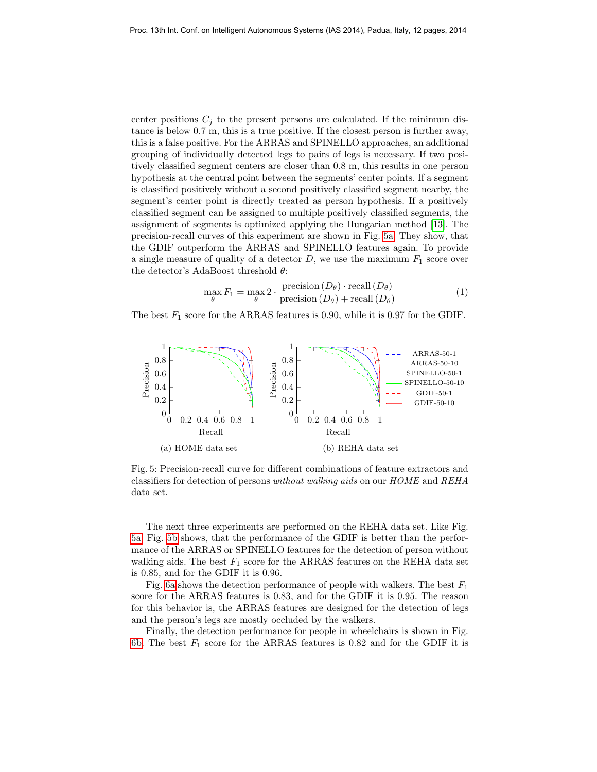center positions  $C_i$  to the present persons are calculated. If the minimum distance is below 0.7 m, this is a true positive. If the closest person is further away, this is a false positive. For the ARRAS and SPINELLO approaches, an additional grouping of individually detected legs to pairs of legs is necessary. If two positively classified segment centers are closer than 0.8 m, this results in one person hypothesis at the central point between the segments' center points. If a segment is classified positively without a second positively classified segment nearby, the segment's center point is directly treated as person hypothesis. If a positively classified segment can be assigned to multiple positively classified segments, the assignment of segments is optimized applying the Hungarian method [\[13\]](#page-11-12). The precision-recall curves of this experiment are shown in Fig. [5a.](#page-9-0) They show, that the GDIF outperform the ARRAS and SPINELLO features again. To provide a single measure of quality of a detector  $D$ , we use the maximum  $F_1$  score over the detector's AdaBoost threshold  $\theta$ :

$$
\max_{\theta} F_1 = \max_{\theta} 2 \cdot \frac{\text{precision}(D_{\theta}) \cdot \text{recall}(D_{\theta})}{\text{precision}(D_{\theta}) + \text{recall}(D_{\theta})}
$$
(1)

The best  $F_1$  score for the ARRAS features is 0.90, while it is 0.97 for the GDIF.

<span id="page-9-0"></span>

Fig. 5: Precision-recall curve for different combinations of feature extractors and classifiers for detection of persons without walking aids on our HOME and REHA data set.

The next three experiments are performed on the REHA data set. Like Fig. [5a,](#page-9-0) Fig. [5b](#page-9-0) shows, that the performance of the GDIF is better than the performance of the ARRAS or SPINELLO features for the detection of person without walking aids. The best  $F_1$  score for the ARRAS features on the REHA data set is 0.85, and for the GDIF it is 0.96.

Fig. [6a](#page-10-0) shows the detection performance of people with walkers. The best  $F_1$ score for the ARRAS features is 0.83, and for the GDIF it is 0.95. The reason for this behavior is, the ARRAS features are designed for the detection of legs and the person's legs are mostly occluded by the walkers.

Finally, the detection performance for people in wheelchairs is shown in Fig. [6b.](#page-10-0) The best  $F_1$  score for the ARRAS features is 0.82 and for the GDIF it is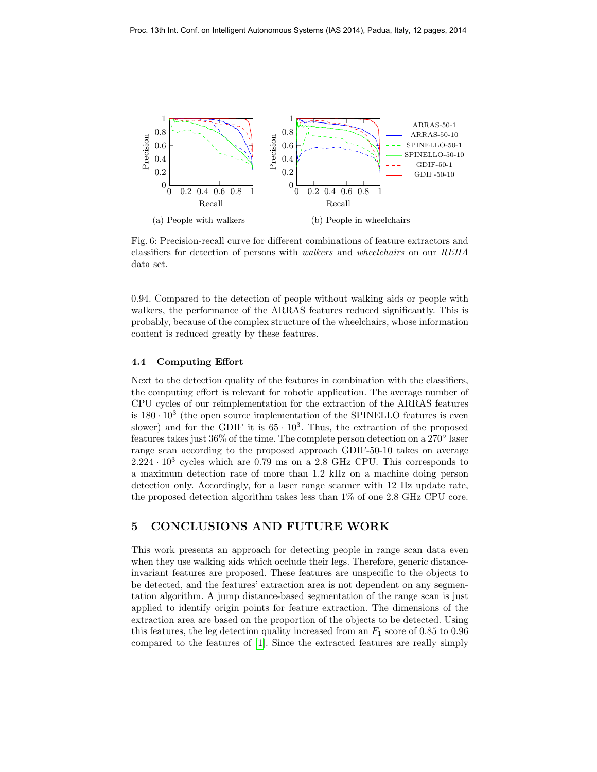<span id="page-10-0"></span>

Fig. 6: Precision-recall curve for different combinations of feature extractors and classifiers for detection of persons with walkers and wheelchairs on our REHA data set.

0.94. Compared to the detection of people without walking aids or people with walkers, the performance of the ARRAS features reduced significantly. This is probably, because of the complex structure of the wheelchairs, whose information content is reduced greatly by these features.

## 4.4 Computing Effort

Next to the detection quality of the features in combination with the classifiers, the computing effort is relevant for robotic application. The average number of CPU cycles of our reimplementation for the extraction of the ARRAS features is  $180 \cdot 10^3$  (the open source implementation of the SPINELLO features is even slower) and for the GDIF it is  $65 \cdot 10^3$ . Thus, the extraction of the proposed features takes just 36% of the time. The complete person detection on a 270° laser range scan according to the proposed approach GDIF-50-10 takes on average  $2.224 \cdot 10^3$  cycles which are 0.79 ms on a 2.8 GHz CPU. This corresponds to a maximum detection rate of more than 1.2 kHz on a machine doing person detection only. Accordingly, for a laser range scanner with 12 Hz update rate, the proposed detection algorithm takes less than 1% of one 2.8 GHz CPU core.

## 5 CONCLUSIONS AND FUTURE WORK

This work presents an approach for detecting people in range scan data even when they use walking aids which occlude their legs. Therefore, generic distanceinvariant features are proposed. These features are unspecific to the objects to be detected, and the features' extraction area is not dependent on any segmentation algorithm. A jump distance-based segmentation of the range scan is just applied to identify origin points for feature extraction. The dimensions of the extraction area are based on the proportion of the objects to be detected. Using this features, the leg detection quality increased from an  $F_1$  score of 0.85 to 0.96 compared to the features of [\[1\]](#page-11-0). Since the extracted features are really simply